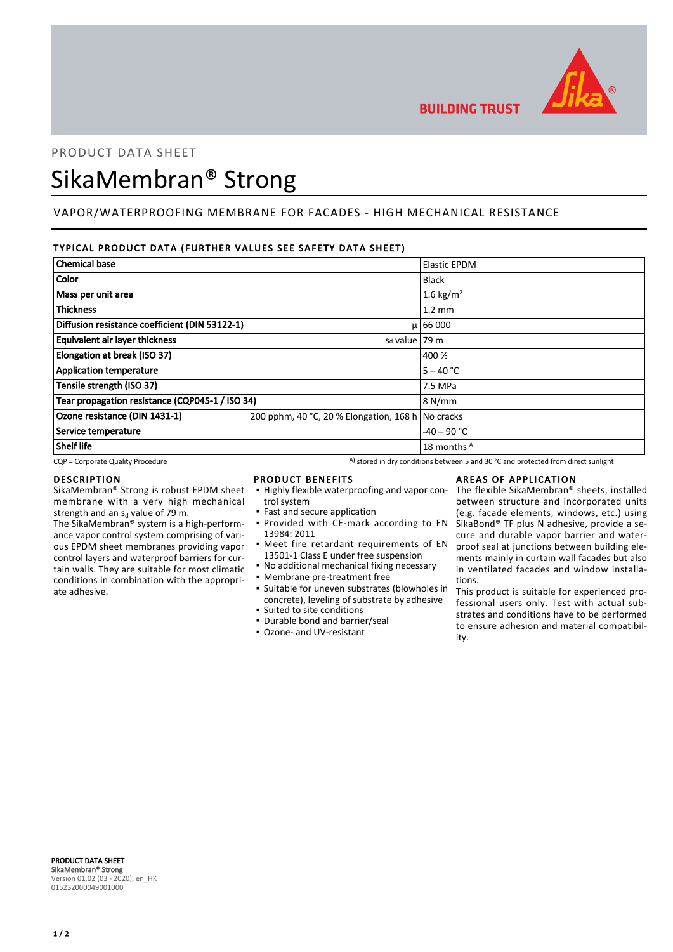

**BUILDING TRUST** 

# PRODUCT DATA SHEET

# SikaMembran® Strong

# VAPOR/WATERPROOFING MEMBRANE FOR FACADES - HIGH MECHANICAL RESISTANCE

# TYPICAL PRODUCT DATA (FURTHER VALUES SEE SAFETY DATA SHEET)

| <b>Chemical base</b>                                |                                                   | <b>Elastic EPDM</b>   |
|-----------------------------------------------------|---------------------------------------------------|-----------------------|
| Color                                               |                                                   | <b>Black</b>          |
| Mass per unit area                                  |                                                   | 1.6 kg/m <sup>2</sup> |
| <b>Thickness</b>                                    |                                                   | $1.2 \text{ mm}$      |
| Diffusion resistance coefficient (DIN 53122-1)      |                                                   | $\mu$ 66 000          |
| Equivalent air layer thickness<br>$sd$ value   79 m |                                                   |                       |
| Elongation at break (ISO 37)                        |                                                   | 400 %                 |
| <b>Application temperature</b>                      |                                                   | $5 - 40 °C$           |
| Tensile strength (ISO 37)                           |                                                   | 7.5 MPa               |
| Tear propagation resistance (CQP045-1 / ISO 34)     |                                                   | 8 N/mm                |
| Ozone resistance (DIN 1431-1)                       | 200 pphm, 40 °C, 20 % Elongation, 168 h No cracks |                       |
| Service temperature                                 |                                                   | $-40 - 90$ °C         |
| <b>Shelf life</b>                                   |                                                   | 18 months A           |

 $CQP$  = Corporate Quality Procedure  $A)$  stored in dry conditions between 5 and 30 °C and protected from direct sunlight

### DESCRIPTION

SikaMembran® Strong is robust EPDM sheet membrane with a very high mechanical strength and an s<sub>d</sub> value of 79 m.

The SikaMembran® system is a high-performance vapor control system comprising of various EPDM sheet membranes providing vapor control layers and waterproof barriers for curtain walls. They are suitable for most climatic conditions in combination with the appropriate adhesive.

### PRODUCT BENEFITS

- **.** Highly flexible waterproofing and vapor control system
- Fast and secure application **• Provided with CE-mark according to EN**
- 13984: 2011 **•** Meet fire retardant requirements of EN
- 13501-1 Class E under free suspension
- No additional mechanical fixing necessary
- Membrane pre-treatment free
- Suitable for uneven substrates (blowholes in concrete), leveling of substrate by adhesive ▪ Suited to site conditions
- Durable bond and barrier/seal
- Ozone- and UV-resistant

# AREAS OF APPLICATION

The flexible SikaMembran® sheets, installed between structure and incorporated units (e.g. facade elements, windows, etc.) using SikaBond® TF plus N adhesive, provide a secure and durable vapor barrier and waterproof seal at junctions between building elements mainly in curtain wall facades but also in ventilated facades and window installations.

This product is suitable for experienced professional users only. Test with actual substrates and conditions have to be performed to ensure adhesion and material compatibility.

PRODUCT DATA SHEET SikaMembran® Strong Version 01.02 (03 - 2020), en\_HK 015232000049001000